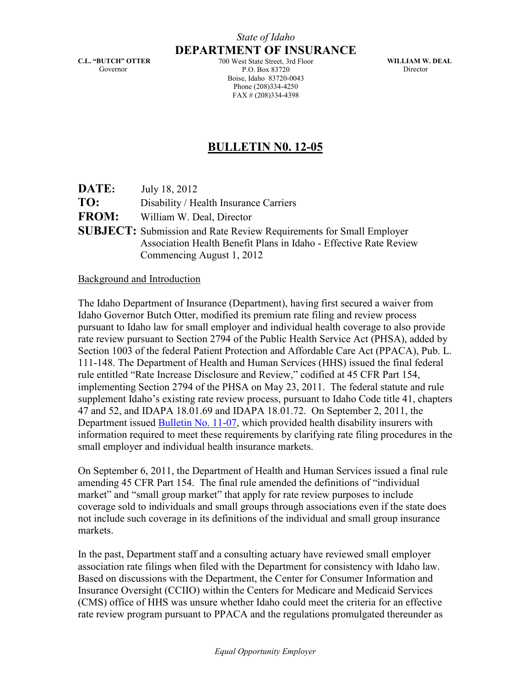C.L. "BUTCH" OTTER Governor

DEPARTMENT OF INSURANCE 700 West State Street, 3rd Floor P.O. Box 83720 Boise, Idaho 83720-0043 Phone (208)334-4250 FAX # (208)334-4398

WILLIAM W. DEAL Director

## BULLETIN N0. 12-05

| <b>DATE:</b> | July 18, 2012                                                              |
|--------------|----------------------------------------------------------------------------|
| TO:          | Disability / Health Insurance Carriers                                     |
| <b>FROM:</b> | William W. Deal, Director                                                  |
|              | <b>SUBJECT:</b> Submission and Rate Review Requirements for Small Employer |
|              | Association Health Benefit Plans in Idaho - Effective Rate Review          |
|              | Commencing August 1, 2012                                                  |

## Background and Introduction

The Idaho Department of Insurance (Department), having first secured a waiver from Idaho Governor Butch Otter, modified its premium rate filing and review process pursuant to Idaho law for small employer and individual health coverage to also provide rate review pursuant to Section 2794 of the Public Health Service Act (PHSA), added by Section 1003 of the federal Patient Protection and Affordable Care Act (PPACA), Pub. L. 111-148. The Department of Health and Human Services (HHS) issued the final federal rule entitled "Rate Increase Disclosure and Review," codified at 45 CFR Part 154, implementing Section 2794 of the PHSA on May 23, 2011. The federal statute and rule supplement Idaho's existing rate review process, pursuant to Idaho Code title 41, chapters 47 and 52, and IDAPA 18.01.69 and IDAPA 18.01.72. On September 2, 2011, the Department issued [Bulletin No. 11-07,](http://www.doi.idaho.gov/laws/11_07.pdf) which provided health disability insurers with information required to meet these requirements by clarifying rate filing procedures in the small employer and individual health insurance markets.

On September 6, 2011, the Department of Health and Human Services issued a final rule amending 45 CFR Part 154. The final rule amended the definitions of "individual market" and "small group market" that apply for rate review purposes to include coverage sold to individuals and small groups through associations even if the state does not include such coverage in its definitions of the individual and small group insurance markets.

In the past, Department staff and a consulting actuary have reviewed small employer association rate filings when filed with the Department for consistency with Idaho law. Based on discussions with the Department, the Center for Consumer Information and Insurance Oversight (CCIIO) within the Centers for Medicare and Medicaid Services (CMS) office of HHS was unsure whether Idaho could meet the criteria for an effective rate review program pursuant to PPACA and the regulations promulgated thereunder as